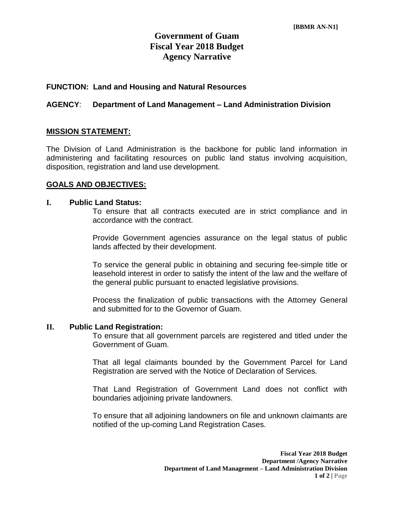# **Government of Guam Fiscal Year 2018 Budget Agency Narrative**

### **FUNCTION: Land and Housing and Natural Resources**

### **AGENCY**: **Department of Land Management – Land Administration Division**

### **MISSION STATEMENT:**

The Division of Land Administration is the backbone for public land information in administering and facilitating resources on public land status involving acquisition, disposition, registration and land use development.

#### **GOALS AND OBJECTIVES:**

#### **I. Public Land Status:**

To ensure that all contracts executed are in strict compliance and in accordance with the contract.

Provide Government agencies assurance on the legal status of public lands affected by their development.

To service the general public in obtaining and securing fee-simple title or leasehold interest in order to satisfy the intent of the law and the welfare of the general public pursuant to enacted legislative provisions.

Process the finalization of public transactions with the Attorney General and submitted for to the Governor of Guam.

#### **II. Public Land Registration:**

To ensure that all government parcels are registered and titled under the Government of Guam.

That all legal claimants bounded by the Government Parcel for Land Registration are served with the Notice of Declaration of Services.

That Land Registration of Government Land does not conflict with boundaries adjoining private landowners.

To ensure that all adjoining landowners on file and unknown claimants are notified of the up-coming Land Registration Cases.